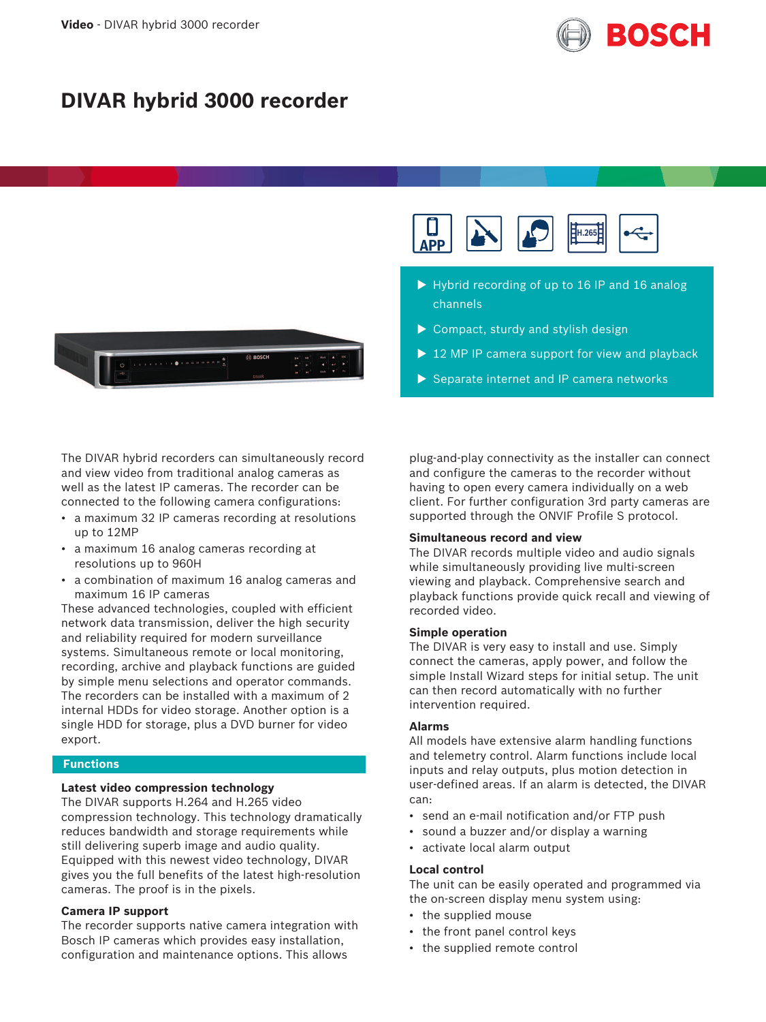

# **DIVAR hybrid 3000 recorder**



The DIVAR hybrid recorders can simultaneously record and view video from traditional analog cameras as well as the latest IP cameras. The recorder can be connected to the following camera configurations:

- a maximum 32 IP cameras recording at resolutions up to 12MP
- a maximum 16 analog cameras recording at resolutions up to 960H
- a combination of maximum 16 analog cameras and maximum 16 IP cameras

These advanced technologies, coupled with efficient network data transmission, deliver the high security and reliability required for modern surveillance systems. Simultaneous remote or local monitoring, recording, archive and playback functions are guided by simple menu selections and operator commands. The recorders can be installed with a maximum of 2 internal HDDs for video storage. Another option is a single HDD for storage, plus a DVD burner for video export.

#### **Functions**

# **Latest video compression technology**

The DIVAR supports H.264 and H.265 video compression technology. This technology dramatically reduces bandwidth and storage requirements while still delivering superb image and audio quality. Equipped with this newest video technology, DIVAR gives you the full benefits of the latest high-resolution cameras. The proof is in the pixels.

#### **Camera IP support**

The recorder supports native camera integration with Bosch IP cameras which provides easy installation, configuration and maintenance options. This allows



- $\triangleright$  Hybrid recording of up to 16 IP and 16 analog channels
- $\triangleright$  Compact, sturdy and stylish design
- $\triangleright$  12 MP IP camera support for view and playback
- $\triangleright$  Separate internet and IP camera networks

plug-and-play connectivity as the installer can connect and configure the cameras to the recorder without having to open every camera individually on a web client. For further configuration 3rd party cameras are supported through the ONVIF Profile S protocol.

#### **Simultaneous record and view**

The DIVAR records multiple video and audio signals while simultaneously providing live multi-screen viewing and playback. Comprehensive search and playback functions provide quick recall and viewing of recorded video.

#### **Simple operation**

The DIVAR is very easy to install and use. Simply connect the cameras, apply power, and follow the simple Install Wizard steps for initial setup. The unit can then record automatically with no further intervention required.

#### **Alarms**

All models have extensive alarm handling functions and telemetry control. Alarm functions include local inputs and relay outputs, plus motion detection in user-defined areas. If an alarm is detected, the DIVAR can:

- send an e-mail notification and/or FTP push
- sound a buzzer and/or display a warning
- activate local alarm output

#### **Local control**

The unit can be easily operated and programmed via the on-screen display menu system using:

- the supplied mouse
- the front panel control keys
- the supplied remote control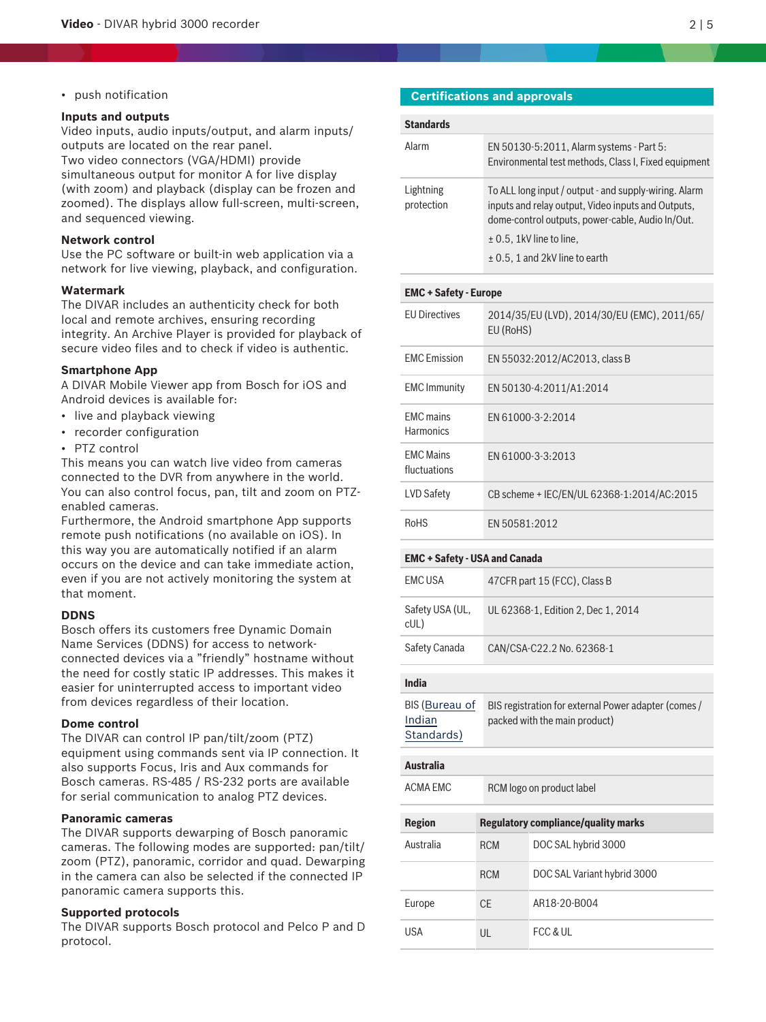• push notification

#### **Inputs and outputs**

Video inputs, audio inputs/output, and alarm inputs/ outputs are located on the rear panel. Two video connectors (VGA/HDMI) provide simultaneous output for monitor A for live display (with zoom) and playback (display can be frozen and zoomed). The displays allow full-screen, multi-screen, and sequenced viewing.

#### **Network control**

Use the PC software or built-in web application via a network for live viewing, playback, and configuration.

#### **Watermark**

The DIVAR includes an authenticity check for both local and remote archives, ensuring recording integrity. An Archive Player is provided for playback of secure video files and to check if video is authentic.

#### **Smartphone App**

A DIVAR Mobile Viewer app from Bosch for iOS and Android devices is available for:

- live and playback viewing
- recorder configuration
- PTZ control

This means you can watch live video from cameras connected to the DVR from anywhere in the world. You can also control focus, pan, tilt and zoom on PTZenabled cameras.

Furthermore, the Android smartphone App supports remote push notifications (no available on iOS). In this way you are automatically notified if an alarm occurs on the device and can take immediate action, even if you are not actively monitoring the system at that moment.

#### **DDNS**

Bosch offers its customers free Dynamic Domain Name Services (DDNS) for access to networkconnected devices via a "friendly" hostname without the need for costly static IP addresses. This makes it easier for uninterrupted access to important video from devices regardless of their location.

#### **Dome control**

The DIVAR can control IP pan/tilt/zoom (PTZ) equipment using commands sent via IP connection. It also supports Focus, Iris and Aux commands for Bosch cameras. RS‑485 / RS‑232 ports are available for serial communication to analog PTZ devices.

#### **Panoramic cameras**

The DIVAR supports dewarping of Bosch panoramic cameras. The following modes are supported: pan/tilt/ zoom (PTZ), panoramic, corridor and quad. Dewarping in the camera can also be selected if the connected IP panoramic camera supports this.

#### **Supported protocols**

The DIVAR supports Bosch protocol and Pelco P and D protocol.

#### **Certifications and approvals**

| <b>Standards</b>        |                                                                                                                                                                                                                                       |
|-------------------------|---------------------------------------------------------------------------------------------------------------------------------------------------------------------------------------------------------------------------------------|
| Alarm                   | EN 50130-5:2011, Alarm systems - Part 5:<br>Environmental test methods, Class I, Fixed equipment                                                                                                                                      |
| Lightning<br>protection | To ALL long input / output - and supply-wiring. Alarm<br>inputs and relay output, Video inputs and Outputs,<br>dome-control outputs, power-cable, Audio In/Out.<br>$\pm$ 0.5, 1kV line to line,<br>$\pm$ 0.5, 1 and 2kV line to earth |

# **EMC + Safety - Europe** EU Directives 2014/35/EU (LVD), 2014/30/EU (EMC), 2011/65/ EU (RoHS) EMC Emission EN 55032:2012/AC2013, class B EMC Immunity EN 50130-4:2011/A1:2014 EMC mains **Harmonics** EN 61000-3-2:2014 EMC Mains fluctuations EN 61000-3-3:2013 LVD Safety CB scheme + IEC/EN/UL 62368-1:2014/AC:2015 RoHS EN 50581:2012

#### **EMC + Safety - USA and Canada**

| EMC USA                 | 47 CFR part 15 (FCC), Class B      |
|-------------------------|------------------------------------|
| Safety USA (UL,<br>cUL) | UL 62368-1, Edition 2, Dec 1, 2014 |
| Safety Canada           | CAN/CSA-C22.2 No. 62368-1          |

#### **India**

| BIS (Bureau of | BIS registration for external Power adapter (comes / |
|----------------|------------------------------------------------------|
| Indian         | packed with the main product)                        |
| Standards)     |                                                      |

# **Australia**

ACMA EMC RCM logo on product label

| <b>Region</b> | <b>Regulatory compliance/quality marks</b> |                             |
|---------------|--------------------------------------------|-----------------------------|
| Australia     | <b>RCM</b>                                 | DOC SAL hybrid 3000         |
|               | <b>RCM</b>                                 | DOC SAL Variant hybrid 3000 |
| Europe        | <b>CE</b>                                  | AR18-20-B004                |
| USA           | UL                                         | FCC & UL                    |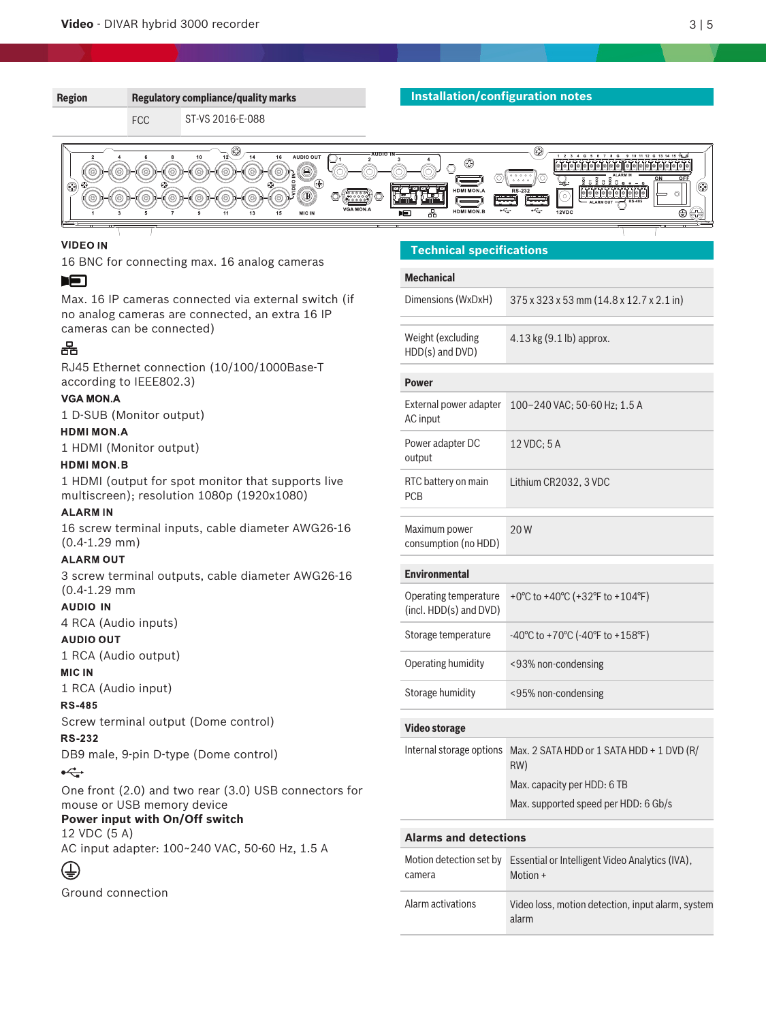

#### **VIDEO IN**

16 BNC for connecting max. 16 analog cameras

#### 归

Max. 16 IP cameras connected via external switch (if no analog cameras are connected, an extra 16 IP cameras can be connected)

# 옮

RJ45 Ethernet connection (10/100/1000Base-T according to IEEE802.3)

#### **VGA MON.A**

1 D-SUB (Monitor output)

#### **HDMI MON.A**

1 HDMI (Monitor output)

## **HDMI MON.B**

1 HDMI (output for spot monitor that supports live multiscreen); resolution 1080p (1920x1080)

#### **ALARMIN**

16 screw terminal inputs, cable diameter AWG26‑16 (0.4-1.29 mm)

#### **ALARM OUT**

3 screw terminal outputs, cable diameter AWG26‑16 (0.4-1.29 mm

#### **AUDIO IN**

4 RCA (Audio inputs)

#### **AUDIO OUT**

1 RCA (Audio output)

#### **MIC IN**

1 RCA (Audio input)

#### **RS-485**

Screw terminal output (Dome control)

#### **RS-232**

DB9 male, 9-pin D-type (Dome control)

#### $\leftarrow$

One front (2.0) and two rear (3.0) USB connectors for mouse or USB memory device

### **Power input with On/Off switch**

12 VDC (5 A)

AC input adapter: 100~240 VAC, 50-60 Hz, 1.5 A

# ⊕

Ground connection

### **Technical specifications**

| <b>Mechanical</b>                               |                                                                                                                         |  |  |  |
|-------------------------------------------------|-------------------------------------------------------------------------------------------------------------------------|--|--|--|
| Dimensions (WxDxH)                              | 375 x 323 x 53 mm (14.8 x 12.7 x 2.1 in)                                                                                |  |  |  |
| Weight (excluding<br>HDD(s) and DVD)            | $4.13$ kg $(9.1$ lb) approx.                                                                                            |  |  |  |
| <b>Power</b>                                    |                                                                                                                         |  |  |  |
| External power adapter<br>AC input              | 100-240 VAC; 50-60 Hz; 1.5 A                                                                                            |  |  |  |
| Power adapter DC<br>output                      | 12 VDC; 5 A                                                                                                             |  |  |  |
| RTC battery on main<br><b>PCB</b>               | Lithium CR2032, 3 VDC                                                                                                   |  |  |  |
| Maximum power<br>consumption (no HDD)           | 20 W                                                                                                                    |  |  |  |
| <b>Environmental</b>                            |                                                                                                                         |  |  |  |
| Operating temperature<br>(incl. HDD(s) and DVD) | +0°C to +40°C (+32°F to +104°F)                                                                                         |  |  |  |
| Storage temperature                             | $-40^{\circ}$ C to +70 $^{\circ}$ C ( $-40^{\circ}$ F to +158 $^{\circ}$ F)                                             |  |  |  |
| Operating humidity                              | <93% non-condensing                                                                                                     |  |  |  |
| Storage humidity                                | <95% non-condensing                                                                                                     |  |  |  |
| Video storage                                   |                                                                                                                         |  |  |  |
| Internal storage options                        | Max. 2 SATA HDD or 1 SATA HDD + 1 DVD (R/<br>RW)<br>Max. capacity per HDD: 6 TB<br>Max. supported speed per HDD: 6 Gb/s |  |  |  |
| <b>Alarms and detections</b>                    |                                                                                                                         |  |  |  |
| Motion detection set by<br>camera               | Essential or Intelligent Video Analytics (IVA),<br>Motion +                                                             |  |  |  |
| Alarm activations                               | Video loss, motion detection, input alarm, system<br>alarm                                                              |  |  |  |
|                                                 |                                                                                                                         |  |  |  |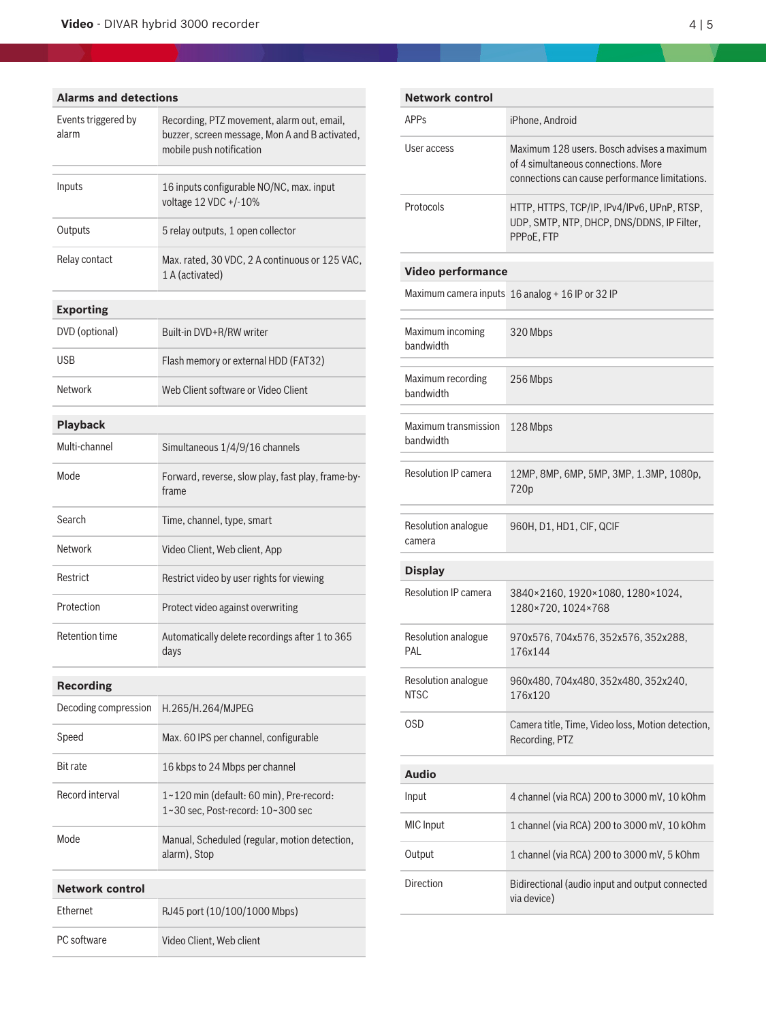| <b>Alarms and detections</b> |                                                                                                                          |  |  |  |
|------------------------------|--------------------------------------------------------------------------------------------------------------------------|--|--|--|
| Events triggered by<br>alarm | Recording, PTZ movement, alarm out, email,<br>buzzer, screen message, Mon A and B activated,<br>mobile push notification |  |  |  |
| Inputs                       | 16 inputs configurable NO/NC, max. input<br>voltage 12 VDC +/-10%                                                        |  |  |  |
| Outputs                      | 5 relay outputs, 1 open collector                                                                                        |  |  |  |
| Relay contact                | Max. rated, 30 VDC, 2 A continuous or 125 VAC,<br>1 A (activated)                                                        |  |  |  |
| <b>Exporting</b>             |                                                                                                                          |  |  |  |
| DVD (optional)               | Built-in DVD+R/RW writer                                                                                                 |  |  |  |
| USB                          | Flash memory or external HDD (FAT32)                                                                                     |  |  |  |
| Network                      | Web Client software or Video Client                                                                                      |  |  |  |
| <b>Playback</b>              |                                                                                                                          |  |  |  |
| Multi-channel                | Simultaneous 1/4/9/16 channels                                                                                           |  |  |  |
| Mode                         | Forward, reverse, slow play, fast play, frame-by-<br>frame                                                               |  |  |  |
| Search                       | Time, channel, type, smart                                                                                               |  |  |  |
| Network                      | Video Client, Web client, App                                                                                            |  |  |  |
| Restrict                     | Restrict video by user rights for viewing                                                                                |  |  |  |
| Protection                   | Protect video against overwriting                                                                                        |  |  |  |
| <b>Retention time</b>        | Automatically delete recordings after 1 to 365<br>days                                                                   |  |  |  |
| <b>Recording</b>             |                                                                                                                          |  |  |  |
| Decoding compression         | H.265/H.264/MJPEG                                                                                                        |  |  |  |
| Speed                        | Max. 60 IPS per channel, configurable                                                                                    |  |  |  |
| <b>Bit rate</b>              | 16 kbps to 24 Mbps per channel                                                                                           |  |  |  |
| <b>Record interval</b>       | 1~120 min (default: 60 min), Pre-record:<br>1~30 sec. Post-record: 10~300 sec                                            |  |  |  |
| Mode                         | Manual, Scheduled (regular, motion detection,<br>alarm), Stop                                                            |  |  |  |
| <b>Network control</b>       |                                                                                                                          |  |  |  |
| Ethernet                     | RJ45 port (10/100/1000 Mbps)                                                                                             |  |  |  |
| PC software                  | Video Client, Web client                                                                                                 |  |  |  |

| <b>Network control</b>            |                                                                                                                                     |  |
|-----------------------------------|-------------------------------------------------------------------------------------------------------------------------------------|--|
| APP <sub>S</sub>                  | iPhone, Android                                                                                                                     |  |
| User access                       | Maximum 128 users. Bosch advises a maximum<br>of 4 simultaneous connections. More<br>connections can cause performance limitations. |  |
| Protocols                         | HTTP, HTTPS, TCP/IP, IPv4/IPv6, UPnP, RTSP,<br>UDP, SMTP, NTP, DHCP, DNS/DDNS, IP Filter,<br>PPPoE, FTP                             |  |
| <b>Video performance</b>          |                                                                                                                                     |  |
|                                   | Maximum camera inputs 16 analog + 16 IP or 32 IP                                                                                    |  |
| Maximum incoming<br>bandwidth     | 320 Mbps                                                                                                                            |  |
| Maximum recording<br>bandwidth    | 256 Mbps                                                                                                                            |  |
| Maximum transmission<br>bandwidth | 128 Mbps                                                                                                                            |  |
| <b>Resolution IP camera</b>       | 12MP, 8MP, 6MP, 5MP, 3MP, 1.3MP, 1080p,<br>720p                                                                                     |  |
| Resolution analogue<br>camera     | 960H, D1, HD1, CIF, QCIF                                                                                                            |  |
| <b>Display</b>                    |                                                                                                                                     |  |
| <b>Resolution IP camera</b>       | 3840×2160, 1920×1080, 1280×1024,<br>1280×720, 1024×768                                                                              |  |
| Resolution analogue<br>PAL        | 970x576, 704x576, 352x576, 352x288,<br>176x144                                                                                      |  |
| Resolution analogue<br>NTSC       | 960x480, 704x480, 352x480, 352x240,<br>176x120                                                                                      |  |
| OSD                               | Camera title, Time, Video loss, Motion detection,<br>Recording, PTZ                                                                 |  |
| <b>Audio</b>                      |                                                                                                                                     |  |
| Input                             | 4 channel (via RCA) 200 to 3000 mV, 10 kOhm                                                                                         |  |
| <b>MIC</b> Input                  | 1 channel (via RCA) 200 to 3000 mV, 10 kOhm                                                                                         |  |
| Output                            | 1 channel (via RCA) 200 to 3000 mV, 5 kOhm                                                                                          |  |
| Direction                         | Bidirectional (audio input and output connected<br>via device)                                                                      |  |